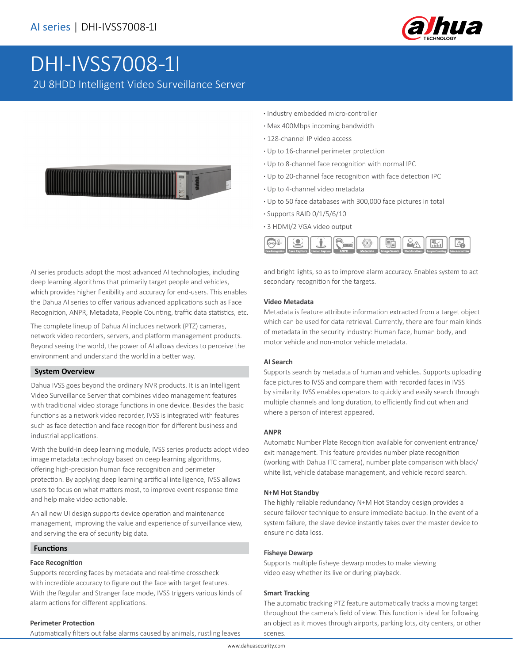

# [DHI-IVSS7008-1I](https://www.ultramaster.ro/supraveghere-video.html)

2U 8HDD Intelligent Video Surveillance Server



AI series products adopt the most advanced AI technologies, including deep learning algorithms that primarily target people and vehicles, which provides higher flexibility and accuracy for end-users. This enables the Dahua AI series to offer various advanced applications such as Face Recognition, ANPR, Metadata, People Counting, traffic data statistics, etc.

The complete lineup of Dahua AI includes network (PTZ) cameras, network video recorders, servers, and platform management products. Beyond seeing the world, the power of AI allows devices to perceive the environment and understand the world in a better way.

# **System Overview**

Dahua IVSS goes beyond the ordinary NVR products. It is an Intelligent Video Surveillance Server that combines video management features with traditional video storage functions in one device. Besides the basic functions as a network video recorder, IVSS is integrated with features such as face detection and face recognition for different business and industrial applications.

With the build-in deep learning module, IVSS series products adopt video image metadata technology based on deep learning algorithms, offering high-precision human face recognition and perimeter protection. By applying deep learning artificial intelligence, IVSS allows users to focus on what matters most, to improve event response time and help make video actionable.

An all new UI design supports device operation and maintenance management, improving the value and experience of surveillance view, and serving the era of security big data.

# **Functions**

#### **Face Recognition**

Supports recording faces by metadata and real-time crosscheck with incredible accuracy to figure out the face with target features. With the Regular and Stranger face mode, IVSS triggers various kinds of alarm actions for different applications.

- **·** Industry embedded micro-controller
- **·** Max 400Mbps incoming bandwidth
- **·** 128-channel IP video access
- **·** Up to 16-channel perimeter protection
- **·** Up to 8-channel face recognition with normal IPC
- **·** Up to 20-channel face recognition with face detection IPC
- **·** Up to 4-channel video metadata
- **·** Up to 50 face databases with 300,000 face pictures in total
- **·** Supports RAID 0/1/5/6/10
- **·** 3 HDMI/2 VGA video output



and bright lights, so as to improve alarm accuracy. Enables system to act secondary recognition for the targets.

#### **Video Metadata**

Metadata is feature attribute information extracted from a target object which can be used for data retrieval. Currently, there are four main kinds of metadata in the security industry: Human face, human body, and motor vehicle and non-motor vehicle metadata.

#### **AI Search**

Supports search by metadata of human and vehicles. Supports uploading face pictures to IVSS and compare them with recorded faces in IVSS by similarity. IVSS enables operators to quickly and easily search through multiple channels and long duration, to efficiently find out when and where a person of interest appeared.

#### **ANPR**

Automatic Number Plate Recognition available for convenient entrance/ exit management. This feature provides number plate recognition (working with Dahua ITC camera), number plate comparison with black/ white list, vehicle database management, and vehicle record search.

#### **N+M Hot Standby**

The highly reliable redundancy N+M Hot Standby design provides a secure failover technique to ensure immediate backup. In the event of a system failure, the slave device instantly takes over the master device to ensure no data loss.

## **Fisheye Dewarp**

Supports multiple fisheye dewarp modes to make viewing video easy whether its live or during playback.

## **Smart Tracking**

The automatic tracking PTZ feature automatically tracks a moving target throughout the camera's field of view. This function is ideal for following an object as it moves through airports, parking lots, city centers, or other scenes.

Automatically filters out false alarms caused by animals, rustling leaves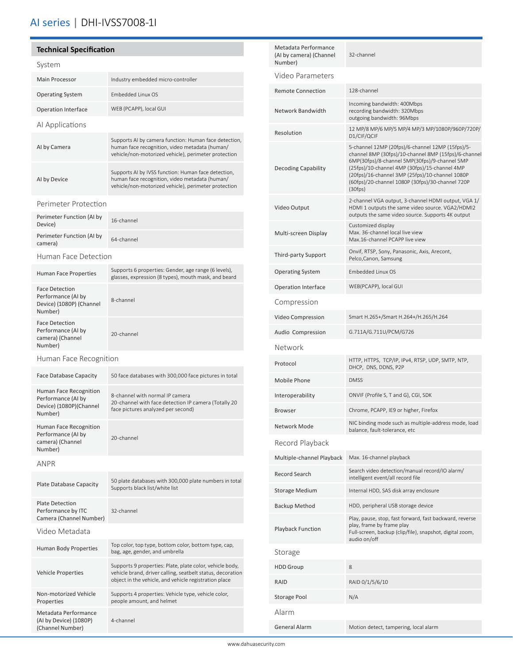# AI series | DHI-IVSS7008-1I

### **Technical Specification** System Main Processor **Industry embedded micro-controller** Operating System Embedded Linux OS Operation Interface WEB (PCAPP), local GUI AI Applications AI by Camera Supports AI by camera function: Human face detection, human face recognition, video metadata (human/ vehicle/non-motorized vehicle), perimeter protection AI by Device Supports AI by IVSS function: Human face detection, human face recognition, video metadata (human/ vehicle/non-motorized vehicle), perimeter protection Perimeter Protection Perimeter Function (AI by Perimeter Function (Al Dy 16-channel<br>Device) Perimeter Function (AI by 64-channel<br>camera) Human Face Detection Human Face Properties Supports 6 properties: Gender, age range (6 levels), glasses, expression (8 types), mouth mask, and beard Face Detection Performance (AI by Device) (1080P) (Channel Number) 8-channel Face Detection Performance (AI by camera) (Channel Number) 20-channel Human Face Recognition Face Database Capacity 50 face databases with 300,000 face pictures in total Human Face Recognition Performance (AI by Device) (1080P)(Channel Number) 8-channel with normal IP camera 20-channel with face detection IP camera (Totally 20 face pictures analyzed per second) Human Face Recognition Performance (AI by camera) (Channel Number) 20-channel ANPR Plate Database Capacity 50 plate databases with 300,000 plate numbers in total Supports black list/white list Plate Detection Performance by ITC Camera (Channel Number) 32-channel Video Metadata Human Body Properties Top color, top type, bottom color, bottom type, cap, bag, age, gender, and umbrella Vehicle Properties Supports 9 properties: Plate, plate color, vehicle body, vehicle brand, driver calling, seatbelt status, decoration object in the vehicle, and vehicle registration place Non-motorized Vehicle Properties Supports 4 properties: Vehicle type, vehicle color, people amount, and helmet Metadata Performance

(AI by Device) (1080P) (Channel Number)

4-channel

| Metadata Performance<br>(AI by camera) (Channel<br>Number) | 32-channel                                                                                                                                                                                                                                                                                                                   |  |
|------------------------------------------------------------|------------------------------------------------------------------------------------------------------------------------------------------------------------------------------------------------------------------------------------------------------------------------------------------------------------------------------|--|
| Video Parameters                                           |                                                                                                                                                                                                                                                                                                                              |  |
| <b>Remote Connection</b>                                   | 128-channel                                                                                                                                                                                                                                                                                                                  |  |
| Network Bandwidth                                          | Incoming bandwidth: 400Mbps<br>recording bandwidth: 320Mbps<br>outgoing bandwidth: 96Mbps                                                                                                                                                                                                                                    |  |
| Resolution                                                 | 12 MP/8 MP/6 MP/5 MP/4 MP/3 MP/1080P/960P/720P/<br>D1/CIF/QCIF                                                                                                                                                                                                                                                               |  |
| <b>Decoding Capability</b>                                 | 5-channel 12MP (20fps)/6-channel 12MP (15fps)/5-<br>channel 8MP (30fps)/10-channel 8MP (15fps)/6-channel<br>6MP(30fps)/8-channel 5MP(30fps)/9-channel 5MP<br>(25fps)/10-channel 4MP (30fps)/15-channel 4MP<br>(20fps)/16-channel 3MP (25fps)/10-channel 1080P<br>(60fps)/20-channel 1080P (30fps)/30-channel 720P<br>(30fps) |  |
| Video Output                                               | 2-channel VGA output, 3-channel HDMI output, VGA 1/<br>HDMI 1 outputs the same video source. VGA2/HDMI2<br>outputs the same video source. Supports 4K output                                                                                                                                                                 |  |
| Multi-screen Display                                       | Customized display<br>Max. 36-channel local live view<br>Max.16-channel PCAPP live view                                                                                                                                                                                                                                      |  |
| Third-party Support                                        | Onvif, RTSP, Sony, Panasonic, Axis, Arecont,<br>Pelco, Canon, Samsung                                                                                                                                                                                                                                                        |  |
| <b>Operating System</b>                                    | Embedded Linux OS                                                                                                                                                                                                                                                                                                            |  |
| <b>Operation Interface</b>                                 | WEB(PCAPP), local GUI                                                                                                                                                                                                                                                                                                        |  |
| Compression                                                |                                                                                                                                                                                                                                                                                                                              |  |
| Video Compression                                          | Smart H.265+/Smart H.264+/H.265/H.264                                                                                                                                                                                                                                                                                        |  |
| Audio Compression                                          | G.711A/G.711U/PCM/G726                                                                                                                                                                                                                                                                                                       |  |
| Network                                                    |                                                                                                                                                                                                                                                                                                                              |  |
| Protocol                                                   | HTTP, HTTPS, TCP/IP, IPv4, RTSP, UDP, SMTP, NTP,<br>DHCP, DNS, DDNS, P2P                                                                                                                                                                                                                                                     |  |
| Mobile Phone                                               | <b>DMSS</b>                                                                                                                                                                                                                                                                                                                  |  |
| Interoperability                                           | ONVIF (Profile S, T and G), CGI, SDK                                                                                                                                                                                                                                                                                         |  |
| <b>Browser</b>                                             | Chrome, PCAPP, IE9 or higher, Firefox                                                                                                                                                                                                                                                                                        |  |
| Network Mode                                               | NIC binding mode such as multiple-address mode, load<br>balance, fault-tolerance, etc                                                                                                                                                                                                                                        |  |
| Record Playback                                            |                                                                                                                                                                                                                                                                                                                              |  |
| Multiple-channel Playback                                  | Max. 16-channel playback                                                                                                                                                                                                                                                                                                     |  |
| <b>Record Search</b>                                       | Search video detection/manual record/IO alarm/<br>intelligent event/all record file                                                                                                                                                                                                                                          |  |
| <b>Storage Medium</b>                                      | Internal HDD, SAS disk array enclosure                                                                                                                                                                                                                                                                                       |  |
| <b>Backup Method</b>                                       | HDD, peripheral USB storage device                                                                                                                                                                                                                                                                                           |  |
| Playback Function                                          | Play, pause, stop, fast forward, fast backward, reverse<br>play, frame by frame play<br>Full-screen, backup (clip/file), snapshot, digital zoom,<br>audio on/off                                                                                                                                                             |  |
| Storage                                                    |                                                                                                                                                                                                                                                                                                                              |  |
| <b>HDD Group</b>                                           | 8                                                                                                                                                                                                                                                                                                                            |  |
| RAID                                                       | RAID 0/1/5/6/10                                                                                                                                                                                                                                                                                                              |  |
| Storage Pool                                               | N/A                                                                                                                                                                                                                                                                                                                          |  |
| Alarm                                                      |                                                                                                                                                                                                                                                                                                                              |  |
| General Alarm                                              | Motion detect, tampering, local alarm                                                                                                                                                                                                                                                                                        |  |